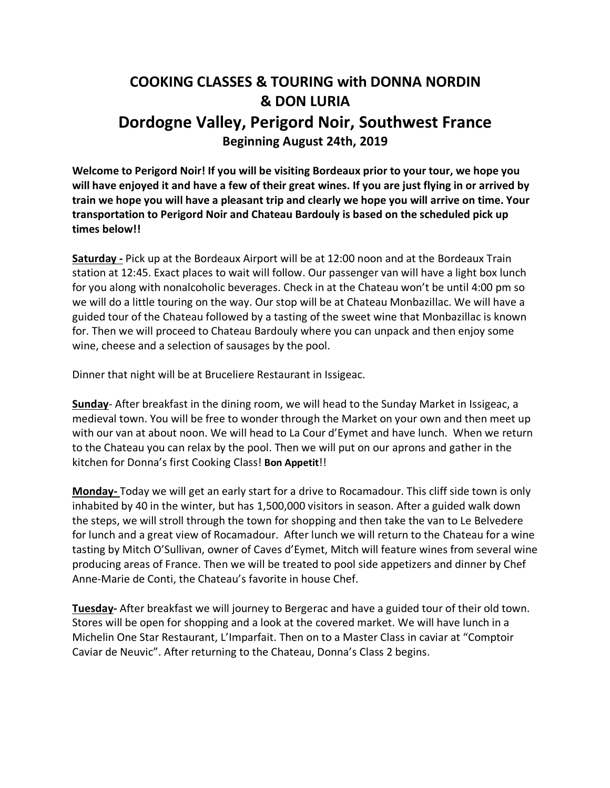## **COOKING CLASSES & TOURING with DONNA NORDIN & DON LURIA Dordogne Valley, Perigord Noir, Southwest France Beginning August 24th, 2019**

**Welcome to Perigord Noir! If you will be visiting Bordeaux prior to your tour, we hope you will have enjoyed it and have a few of their great wines. If you are just flying in or arrived by train we hope you will have a pleasant trip and clearly we hope you will arrive on time. Your transportation to Perigord Noir and Chateau Bardouly is based on the scheduled pick up times below!!**

**Saturday -** Pick up at the Bordeaux Airport will be at 12:00 noon and at the Bordeaux Train station at 12:45. Exact places to wait will follow. Our passenger van will have a light box lunch for you along with nonalcoholic beverages. Check in at the Chateau won't be until 4:00 pm so we will do a little touring on the way. Our stop will be at Chateau Monbazillac. We will have a guided tour of the Chateau followed by a tasting of the sweet wine that Monbazillac is known for. Then we will proceed to Chateau Bardouly where you can unpack and then enjoy some wine, cheese and a selection of sausages by the pool.

Dinner that night will be at Bruceliere Restaurant in Issigeac.

**Sunday**- After breakfast in the dining room, we will head to the Sunday Market in Issigeac, a medieval town. You will be free to wonder through the Market on your own and then meet up with our van at about noon. We will head to La Cour d'Eymet and have lunch. When we return to the Chateau you can relax by the pool. Then we will put on our aprons and gather in the kitchen for Donna's first Cooking Class! **Bon Appetit**!!

**Monday-** Today we will get an early start for a drive to Rocamadour. This cliff side town is only inhabited by 40 in the winter, but has 1,500,000 visitors in season. After a guided walk down the steps, we will stroll through the town for shopping and then take the van to Le Belvedere for lunch and a great view of Rocamadour. After lunch we will return to the Chateau for a wine tasting by Mitch O'Sullivan, owner of Caves d'Eymet, Mitch will feature wines from several wine producing areas of France. Then we will be treated to pool side appetizers and dinner by Chef Anne-Marie de Conti, the Chateau's favorite in house Chef.

**Tuesday-** After breakfast we will journey to Bergerac and have a guided tour of their old town. Stores will be open for shopping and a look at the covered market. We will have lunch in a Michelin One Star Restaurant, L'Imparfait. Then on to a Master Class in caviar at "Comptoir Caviar de Neuvic". After returning to the Chateau, Donna's Class 2 begins.